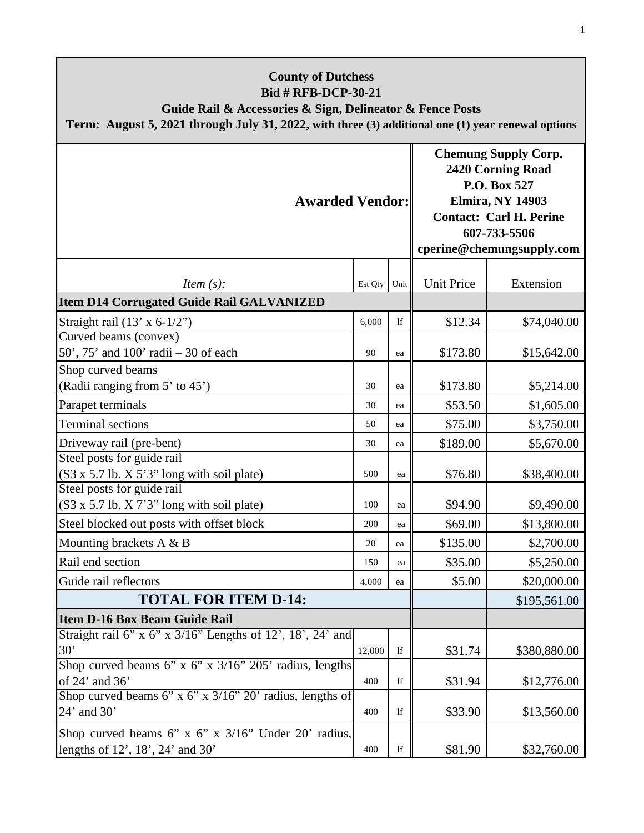| <b>County of Dutchess</b><br><b>Bid # RFB-DCP-30-21</b><br>Guide Rail & Accessories & Sign, Delineator & Fence Posts<br>Term: August 5, 2021 through July 31, 2022, with three (3) additional one (1) year renewal options |         |            |                                                                                                                                                                                   |              |  |
|----------------------------------------------------------------------------------------------------------------------------------------------------------------------------------------------------------------------------|---------|------------|-----------------------------------------------------------------------------------------------------------------------------------------------------------------------------------|--------------|--|
| <b>Awarded Vendor:</b>                                                                                                                                                                                                     |         |            | <b>Chemung Supply Corp.</b><br><b>2420 Corning Road</b><br>P.O. Box 527<br><b>Elmira, NY 14903</b><br><b>Contact: Carl H. Perine</b><br>607-733-5506<br>cperine@chemungsupply.com |              |  |
| <i>Item <math>(s)</math>:</i>                                                                                                                                                                                              | Est Qty | Unit       | <b>Unit Price</b>                                                                                                                                                                 | Extension    |  |
| <b>Item D14 Corrugated Guide Rail GALVANIZED</b>                                                                                                                                                                           |         |            |                                                                                                                                                                                   |              |  |
| Straight rail $(13' \times 6-1/2")$                                                                                                                                                                                        | 6,000   | 1f         | \$12.34                                                                                                                                                                           | \$74,040.00  |  |
| Curved beams (convex)<br>50', $75'$ and $100'$ radii $-30$ of each                                                                                                                                                         | 90      | ea         | \$173.80                                                                                                                                                                          | \$15,642.00  |  |
| Shop curved beams                                                                                                                                                                                                          |         |            |                                                                                                                                                                                   |              |  |
| (Radii ranging from 5' to 45')                                                                                                                                                                                             | 30      | ea         | \$173.80                                                                                                                                                                          | \$5,214.00   |  |
| Parapet terminals                                                                                                                                                                                                          | 30      | ea         | \$53.50                                                                                                                                                                           | \$1,605.00   |  |
| <b>Terminal sections</b>                                                                                                                                                                                                   | 50      | ea         | \$75.00                                                                                                                                                                           | \$3,750.00   |  |
| Driveway rail (pre-bent)                                                                                                                                                                                                   | 30      | ea         | \$189.00                                                                                                                                                                          | \$5,670.00   |  |
| Steel posts for guide rail<br>(S3 x 5.7 lb. X 5'3" long with soil plate)                                                                                                                                                   | 500     | ea         | \$76.80                                                                                                                                                                           | \$38,400.00  |  |
| Steel posts for guide rail<br>$(S3 x 5.7 lb. X 7'3" long with soil plate)$                                                                                                                                                 | 100     | ea         | \$94.90                                                                                                                                                                           | \$9,490.00   |  |
| Steel blocked out posts with offset block                                                                                                                                                                                  | 200     | ea         | \$69.00                                                                                                                                                                           | \$13,800.00  |  |
| Mounting brackets $A \& B$                                                                                                                                                                                                 | 20      | ea         | \$135.00                                                                                                                                                                          | \$2,700.00   |  |
| Rail end section                                                                                                                                                                                                           | 150     | ea         | \$35.00                                                                                                                                                                           | \$5,250.00   |  |
| Guide rail reflectors                                                                                                                                                                                                      | 4,000   | ea         | \$5.00                                                                                                                                                                            | \$20,000.00  |  |
| <b>TOTAL FOR ITEM D-14:</b>                                                                                                                                                                                                |         |            |                                                                                                                                                                                   | \$195,561.00 |  |
| <b>Item D-16 Box Beam Guide Rail</b>                                                                                                                                                                                       |         |            |                                                                                                                                                                                   |              |  |
| Straight rail 6" x 6" x 3/16" Lengths of 12', 18', 24' and<br>30'                                                                                                                                                          | 12,000  | lf         | \$31.74                                                                                                                                                                           | \$380,880.00 |  |
| Shop curved beams 6" x 6" x 3/16" 205' radius, lengths<br>of 24' and 36'                                                                                                                                                   | 400     | lf         | \$31.94                                                                                                                                                                           | \$12,776.00  |  |
| Shop curved beams 6" x 6" x $3/16$ " 20" radius, lengths of<br>24' and 30'                                                                                                                                                 | 400     | lf         | \$33.90                                                                                                                                                                           | \$13,560.00  |  |
| Shop curved beams 6" x 6" x $3/16$ " Under 20" radius,<br>lengths of 12', 18', 24' and 30'                                                                                                                                 | 400     | $_{\rm l}$ | \$81.90                                                                                                                                                                           | \$32,760.00  |  |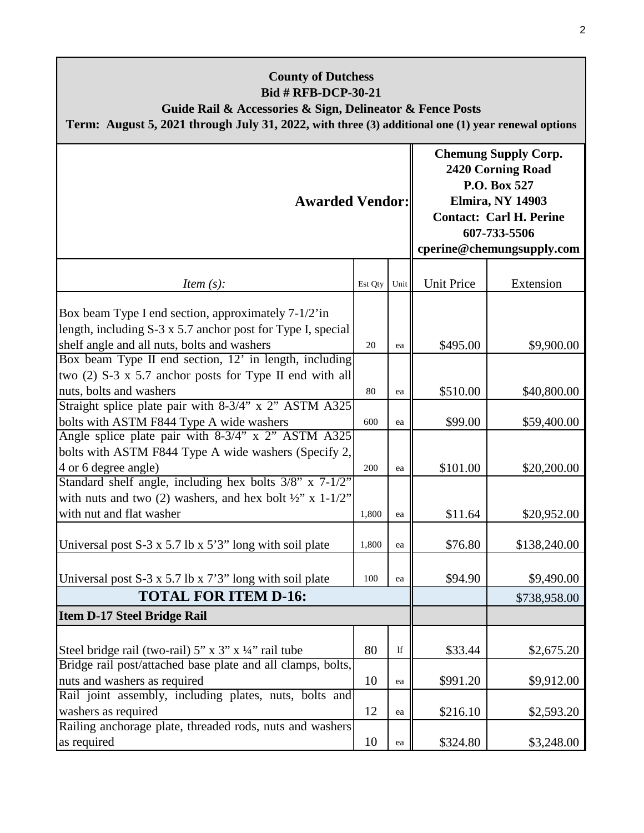| <b>County of Dutchess</b><br><b>Bid # RFB-DCP-30-21</b><br>Guide Rail & Accessories & Sign, Delineator & Fence Posts<br>Term: August 5, 2021 through July 31, 2022, with three (3) additional one (1) year renewal options  |         |      |                                                                                                                                                                                   |              |  |
|-----------------------------------------------------------------------------------------------------------------------------------------------------------------------------------------------------------------------------|---------|------|-----------------------------------------------------------------------------------------------------------------------------------------------------------------------------------|--------------|--|
| <b>Awarded Vendor:</b>                                                                                                                                                                                                      |         |      | <b>Chemung Supply Corp.</b><br><b>2420 Corning Road</b><br>P.O. Box 527<br><b>Elmira, NY 14903</b><br><b>Contact: Carl H. Perine</b><br>607-733-5506<br>cperine@chemungsupply.com |              |  |
| <i>Item</i> $(s)$ :                                                                                                                                                                                                         | Est Qty | Unit | <b>Unit Price</b>                                                                                                                                                                 | Extension    |  |
| Box beam Type I end section, approximately 7-1/2'in<br>length, including S-3 x 5.7 anchor post for Type I, special<br>shelf angle and all nuts, bolts and washers<br>Box beam Type II end section, 12' in length, including | 20      | ea   | \$495.00                                                                                                                                                                          | \$9,900.00   |  |
| two $(2)$ S-3 x 5.7 anchor posts for Type II end with all                                                                                                                                                                   |         |      |                                                                                                                                                                                   |              |  |
| nuts, bolts and washers<br>Straight splice plate pair with 8-3/4" x 2" ASTM A325                                                                                                                                            | 80      | ea   | \$510.00                                                                                                                                                                          | \$40,800.00  |  |
| bolts with ASTM F844 Type A wide washers                                                                                                                                                                                    | 600     | ea   | \$99.00                                                                                                                                                                           | \$59,400.00  |  |
| Angle splice plate pair with 8-3/4" x 2" ASTM A325<br>bolts with ASTM F844 Type A wide washers (Specify 2,<br>4 or 6 degree angle)                                                                                          | 200     | ea   | \$101.00                                                                                                                                                                          | \$20,200.00  |  |
| Standard shelf angle, including hex bolts 3/8" x 7-1/2"<br>with nuts and two (2) washers, and hex bolt $\frac{1}{2}$ " x 1-1/2"<br>with nut and flat washer                                                                 | 1.800   | ea   | \$11.64                                                                                                                                                                           | \$20,952.00  |  |
| Universal post $S-3 \times 5.7$ lb $\times 5'3''$ long with soil plate                                                                                                                                                      | 1,800   | ea   | \$76.80                                                                                                                                                                           | \$138,240.00 |  |
| Universal post S-3 x 5.7 lb x 7'3" long with soil plate                                                                                                                                                                     | 100     | ea   | \$94.90                                                                                                                                                                           | \$9,490.00   |  |
| <b>TOTAL FOR ITEM D-16:</b>                                                                                                                                                                                                 |         |      |                                                                                                                                                                                   | \$738,958.00 |  |
| Item D-17 Steel Bridge Rail                                                                                                                                                                                                 |         |      |                                                                                                                                                                                   |              |  |
| Steel bridge rail (two-rail) 5" x 3" x 1/4" rail tube<br>Bridge rail post/attached base plate and all clamps, bolts,                                                                                                        | 80      | 1f   | \$33.44                                                                                                                                                                           | \$2,675.20   |  |
| nuts and washers as required                                                                                                                                                                                                | 10      | ea   | \$991.20                                                                                                                                                                          | \$9,912.00   |  |
| Rail joint assembly, including plates, nuts, bolts and<br>washers as required                                                                                                                                               | 12      | ea   | \$216.10                                                                                                                                                                          | \$2,593.20   |  |
| Railing anchorage plate, threaded rods, nuts and washers<br>as required                                                                                                                                                     | 10      | ea   | \$324.80                                                                                                                                                                          | \$3,248.00   |  |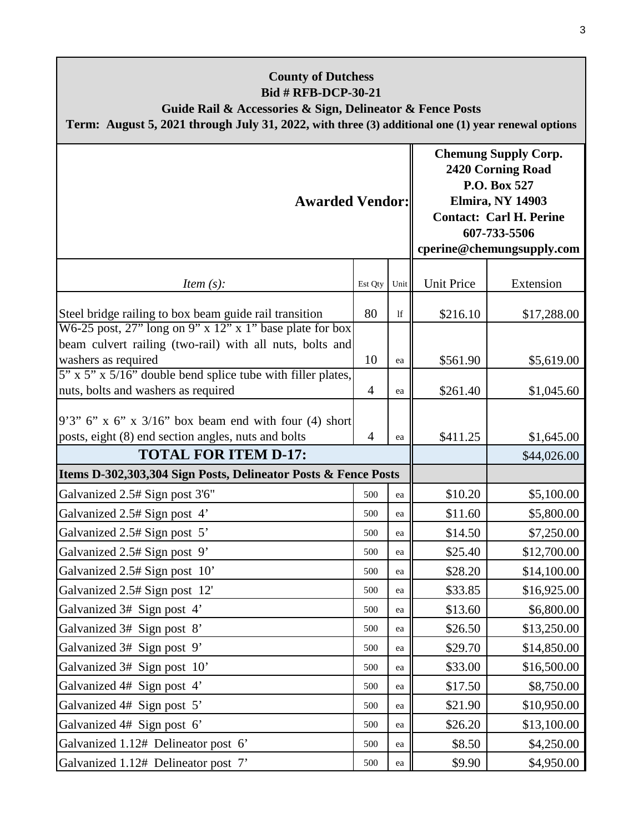| <b>County of Dutchess</b><br><b>Bid # RFB-DCP-30-21</b><br>Guide Rail & Accessories & Sign, Delineator & Fence Posts<br>Term: August 5, 2021 through July 31, 2022, with three (3) additional one (1) year renewal options |                |               |                                                                                                                                                                            |             |
|----------------------------------------------------------------------------------------------------------------------------------------------------------------------------------------------------------------------------|----------------|---------------|----------------------------------------------------------------------------------------------------------------------------------------------------------------------------|-------------|
| <b>Awarded Vendor:</b>                                                                                                                                                                                                     |                |               | <b>Chemung Supply Corp.</b><br>2420 Corning Road<br>P.O. Box 527<br><b>Elmira, NY 14903</b><br><b>Contact: Carl H. Perine</b><br>607-733-5506<br>cperine@chemungsupply.com |             |
| <i>Item</i> $(s)$ :                                                                                                                                                                                                        | Est Qty        | Unit          | <b>Unit Price</b>                                                                                                                                                          | Extension   |
| Steel bridge railing to box beam guide rail transition<br>W6-25 post, $27$ " long on 9" x 12" x 1" base plate for box                                                                                                      | 80             | $\mathbf{If}$ | \$216.10                                                                                                                                                                   | \$17,288.00 |
| beam culvert railing (two-rail) with all nuts, bolts and<br>washers as required                                                                                                                                            | 10             | ea            | \$561.90                                                                                                                                                                   | \$5,619.00  |
| 5" x 5" x 5/16" double bend splice tube with filler plates,<br>nuts, bolts and washers as required                                                                                                                         | $\overline{4}$ | ea            | \$261.40                                                                                                                                                                   | \$1,045.60  |
| $9'3''$ 6" x 6" x 3/16" box beam end with four (4) short<br>posts, eight (8) end section angles, nuts and bolts                                                                                                            | 4              | ea            | \$411.25                                                                                                                                                                   | \$1,645.00  |
| <b>TOTAL FOR ITEM D-17:</b><br>Items D-302,303,304 Sign Posts, Delineator Posts & Fence Posts                                                                                                                              |                |               |                                                                                                                                                                            | \$44,026.00 |
| Galvanized 2.5# Sign post 3'6"                                                                                                                                                                                             | 500            | ea            | \$10.20                                                                                                                                                                    | \$5,100.00  |
| Galvanized 2.5# Sign post 4'                                                                                                                                                                                               | 500            | ea            | \$11.60                                                                                                                                                                    | \$5,800.00  |
| Galvanized 2.5# Sign post 5'                                                                                                                                                                                               | 500            | ea            | \$14.50                                                                                                                                                                    | \$7,250.00  |
| Galvanized 2.5# Sign post 9'                                                                                                                                                                                               | 500            | ea            | \$25.40                                                                                                                                                                    | \$12,700.00 |
| Galvanized 2.5# Sign post 10'                                                                                                                                                                                              | 500            | ea            | \$28.20                                                                                                                                                                    | \$14,100.00 |
| Galvanized 2.5# Sign post 12'                                                                                                                                                                                              | 500            | ea            | \$33.85                                                                                                                                                                    | \$16,925.00 |
| Galvanized 3# Sign post 4'                                                                                                                                                                                                 | 500            | ea            | \$13.60                                                                                                                                                                    | \$6,800.00  |
| Galvanized 3# Sign post 8'                                                                                                                                                                                                 | 500            | ea            | \$26.50                                                                                                                                                                    | \$13,250.00 |
| Galvanized 3# Sign post 9'                                                                                                                                                                                                 | 500            | ea            | \$29.70                                                                                                                                                                    | \$14,850.00 |
| Galvanized 3# Sign post 10'                                                                                                                                                                                                | 500            | ea            | \$33.00                                                                                                                                                                    | \$16,500.00 |
| Galvanized 4# Sign post 4'                                                                                                                                                                                                 | 500            | ea            | \$17.50                                                                                                                                                                    | \$8,750.00  |
| Galvanized 4# Sign post 5'                                                                                                                                                                                                 | 500            | ea            | \$21.90                                                                                                                                                                    | \$10,950.00 |
| Galvanized 4# Sign post 6'                                                                                                                                                                                                 | 500            | ea            | \$26.20                                                                                                                                                                    | \$13,100.00 |
| Galvanized 1.12# Delineator post 6'                                                                                                                                                                                        | 500            | ea            | \$8.50                                                                                                                                                                     | \$4,250.00  |
| Galvanized 1.12# Delineator post 7'                                                                                                                                                                                        | 500            | ea            | \$9.90                                                                                                                                                                     | \$4,950.00  |